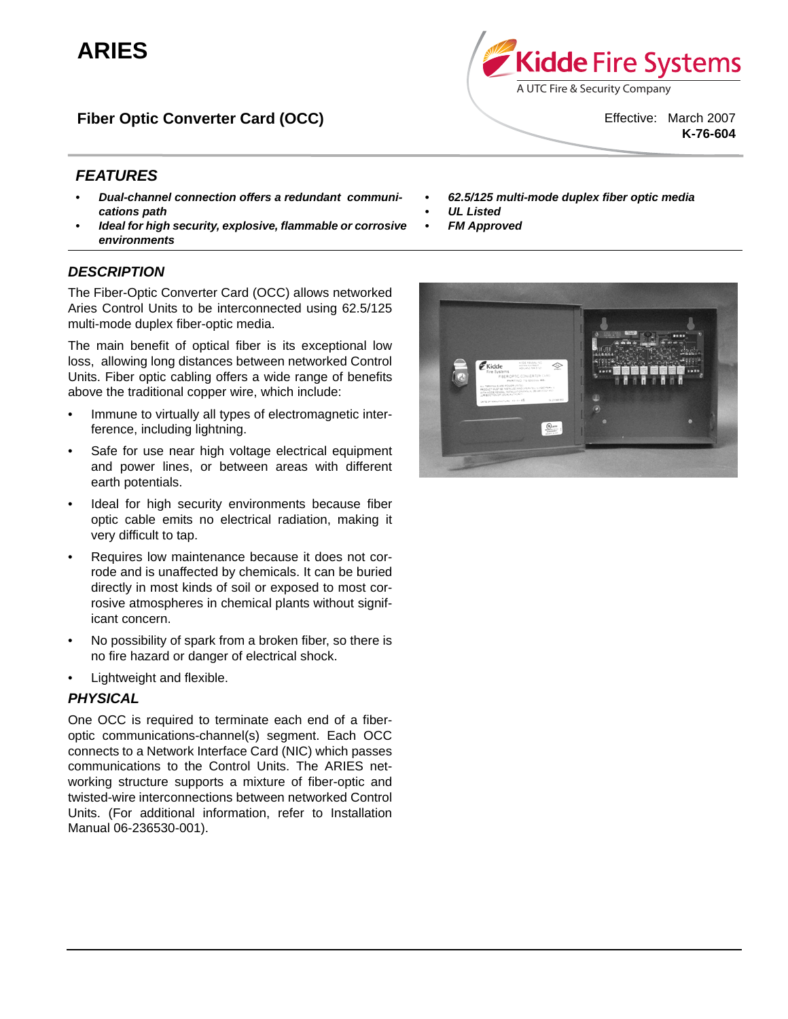# **ARIES**

**Fiber Optic Converter Card (OCC)**

Effective: March 2007 **K-76-604**

# *FEATURES*

- *Dual-channel connection offers a redundant communications path*
- *Ideal for high security, explosive, flammable or corrosive environments*

## *DESCRIPTION*

The Fiber-Optic Converter Card (OCC) allows networked Aries Control Units to be interconnected using 62.5/125 multi-mode duplex fiber-optic media.

The main benefit of optical fiber is its exceptional low loss, allowing long distances between networked Control Units. Fiber optic cabling offers a wide range of benefits above the traditional copper wire, which include:

- Immune to virtually all types of electromagnetic interference, including lightning.
- Safe for use near high voltage electrical equipment and power lines, or between areas with different earth potentials.
- Ideal for high security environments because fiber optic cable emits no electrical radiation, making it very difficult to tap.
- Requires low maintenance because it does not corrode and is unaffected by chemicals. It can be buried directly in most kinds of soil or exposed to most corrosive atmospheres in chemical plants without significant concern.
- No possibility of spark from a broken fiber, so there is no fire hazard or danger of electrical shock.
- Lightweight and flexible.

### *PHYSICAL*

One OCC is required to terminate each end of a fiberoptic communications-channel(s) segment. Each OCC connects to a Network Interface Card (NIC) which passes communications to the Control Units. The ARIES networking structure supports a mixture of fiber-optic and twisted-wire interconnections between networked Control Units. (For additional information, refer to Installation Manual 06-236530-001).

*• 62.5/125 multi-mode duplex fiber optic media*

A UTC Fire & Security Company

Kidde Fire Systems

- *UL Listed*
- *FM Approved*